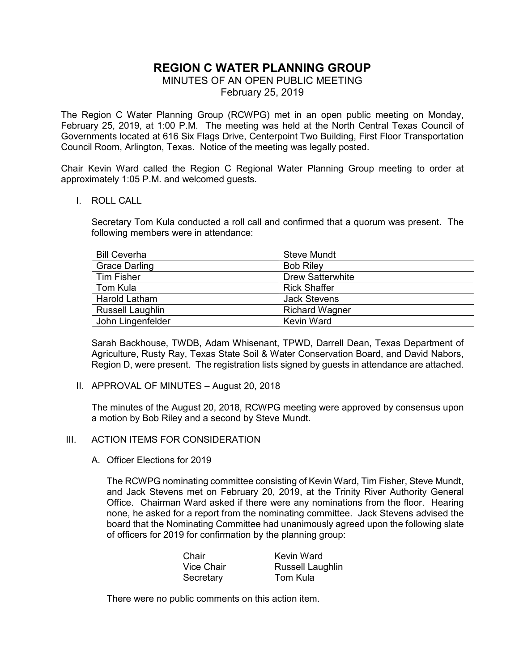# **REGION C WATER PLANNING GROUP**

MINUTES OF AN OPEN PUBLIC MEETING

February 25, 2019

The Region C Water Planning Group (RCWPG) met in an open public meeting on Monday, February 25, 2019, at 1:00 P.M. The meeting was held at the North Central Texas Council of Governments located at 616 Six Flags Drive, Centerpoint Two Building, First Floor Transportation Council Room, Arlington, Texas. Notice of the meeting was legally posted.

Chair Kevin Ward called the Region C Regional Water Planning Group meeting to order at approximately 1:05 P.M. and welcomed guests.

I. ROLL CALL

Secretary Tom Kula conducted a roll call and confirmed that a quorum was present. The following members were in attendance:

| <b>Bill Ceverha</b>     | <b>Steve Mundt</b>      |
|-------------------------|-------------------------|
| <b>Grace Darling</b>    | <b>Bob Riley</b>        |
| <b>Tim Fisher</b>       | <b>Drew Satterwhite</b> |
| Tom Kula                | <b>Rick Shaffer</b>     |
| Harold Latham           | <b>Jack Stevens</b>     |
| <b>Russell Laughlin</b> | <b>Richard Wagner</b>   |
| John Lingenfelder       | Kevin Ward              |

Sarah Backhouse, TWDB, Adam Whisenant, TPWD, Darrell Dean, Texas Department of Agriculture, Rusty Ray, Texas State Soil & Water Conservation Board, and David Nabors, Region D, were present. The registration lists signed by guests in attendance are attached.

II. APPROVAL OF MINUTES – August 20, 2018

The minutes of the August 20, 2018, RCWPG meeting were approved by consensus upon a motion by Bob Riley and a second by Steve Mundt.

#### III. ACTION ITEMS FOR CONSIDERATION

A. Officer Elections for 2019

The RCWPG nominating committee consisting of Kevin Ward, Tim Fisher, Steve Mundt, and Jack Stevens met on February 20, 2019, at the Trinity River Authority General Office. Chairman Ward asked if there were any nominations from the floor. Hearing none, he asked for a report from the nominating committee. Jack Stevens advised the board that the Nominating Committee had unanimously agreed upon the following slate of officers for 2019 for confirmation by the planning group:

| Chair             | Kevin Ward              |
|-------------------|-------------------------|
| <b>Vice Chair</b> | <b>Russell Laughlin</b> |
| Secretary         | Tom Kula                |

There were no public comments on this action item.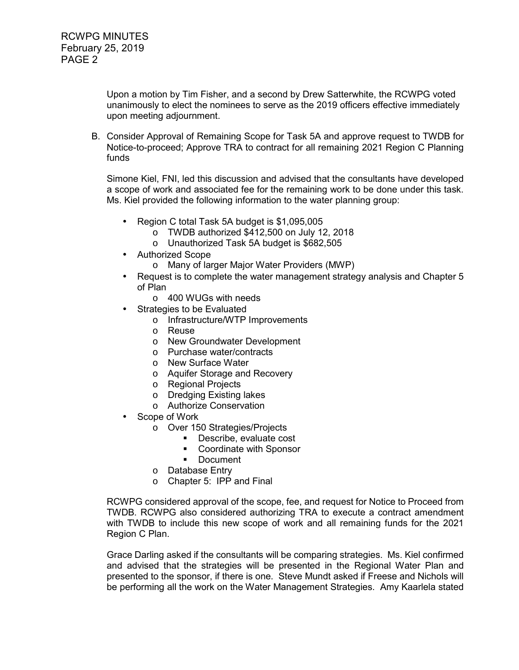Upon a motion by Tim Fisher, and a second by Drew Satterwhite, the RCWPG voted unanimously to elect the nominees to serve as the 2019 officers effective immediately upon meeting adjournment.

B. Consider Approval of Remaining Scope for Task 5A and approve request to TWDB for Notice-to-proceed; Approve TRA to contract for all remaining 2021 Region C Planning funds

Simone Kiel, FNI, led this discussion and advised that the consultants have developed a scope of work and associated fee for the remaining work to be done under this task. Ms. Kiel provided the following information to the water planning group:

- Region C total Task 5A budget is \$1,095,005
	- o TWDB authorized \$412,500 on July 12, 2018
	- o Unauthorized Task 5A budget is \$682,505
- Authorized Scope
	- o Many of larger Major Water Providers (MWP)
- Request is to complete the water management strategy analysis and Chapter 5 of Plan
	- o 400 WUGs with needs
- Strategies to be Evaluated
	- o Infrastructure/WTP Improvements
	- o Reuse
	- o New Groundwater Development
	- o Purchase water/contracts
	- o New Surface Water
	- o Aquifer Storage and Recovery
	- o Regional Projects
	- o Dredging Existing lakes
	- o Authorize Conservation
- Scope of Work
	- o Over 150 Strategies/Projects
		- **Describe, evaluate cost**
		- Coordinate with Sponsor
		- **Document**
	- o Database Entry
	- o Chapter 5: IPP and Final

RCWPG considered approval of the scope, fee, and request for Notice to Proceed from TWDB. RCWPG also considered authorizing TRA to execute a contract amendment with TWDB to include this new scope of work and all remaining funds for the 2021 Region C Plan.

Grace Darling asked if the consultants will be comparing strategies. Ms. Kiel confirmed and advised that the strategies will be presented in the Regional Water Plan and presented to the sponsor, if there is one. Steve Mundt asked if Freese and Nichols will be performing all the work on the Water Management Strategies. Amy Kaarlela stated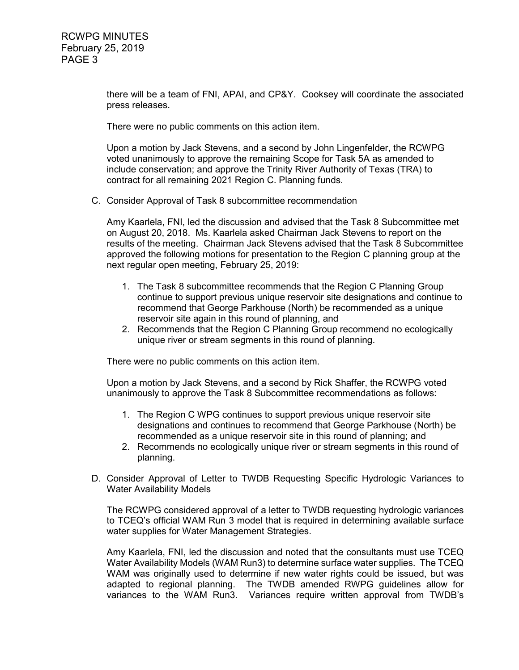there will be a team of FNI, APAI, and CP&Y. Cooksey will coordinate the associated press releases.

There were no public comments on this action item.

Upon a motion by Jack Stevens, and a second by John Lingenfelder, the RCWPG voted unanimously to approve the remaining Scope for Task 5A as amended to include conservation; and approve the Trinity River Authority of Texas (TRA) to contract for all remaining 2021 Region C. Planning funds.

C. Consider Approval of Task 8 subcommittee recommendation

Amy Kaarlela, FNI, led the discussion and advised that the Task 8 Subcommittee met on August 20, 2018. Ms. Kaarlela asked Chairman Jack Stevens to report on the results of the meeting. Chairman Jack Stevens advised that the Task 8 Subcommittee approved the following motions for presentation to the Region C planning group at the next regular open meeting, February 25, 2019:

- 1. The Task 8 subcommittee recommends that the Region C Planning Group continue to support previous unique reservoir site designations and continue to recommend that George Parkhouse (North) be recommended as a unique reservoir site again in this round of planning, and
- 2. Recommends that the Region C Planning Group recommend no ecologically unique river or stream segments in this round of planning.

There were no public comments on this action item.

Upon a motion by Jack Stevens, and a second by Rick Shaffer, the RCWPG voted unanimously to approve the Task 8 Subcommittee recommendations as follows:

- 1. The Region C WPG continues to support previous unique reservoir site designations and continues to recommend that George Parkhouse (North) be recommended as a unique reservoir site in this round of planning; and
- 2. Recommends no ecologically unique river or stream segments in this round of planning.
- D. Consider Approval of Letter to TWDB Requesting Specific Hydrologic Variances to Water Availability Models

The RCWPG considered approval of a letter to TWDB requesting hydrologic variances to TCEQ's official WAM Run 3 model that is required in determining available surface water supplies for Water Management Strategies.

Amy Kaarlela, FNI, led the discussion and noted that the consultants must use TCEQ Water Availability Models (WAM Run3) to determine surface water supplies. The TCEQ WAM was originally used to determine if new water rights could be issued, but was adapted to regional planning. The TWDB amended RWPG guidelines allow for variances to the WAM Run3. Variances require written approval from TWDB's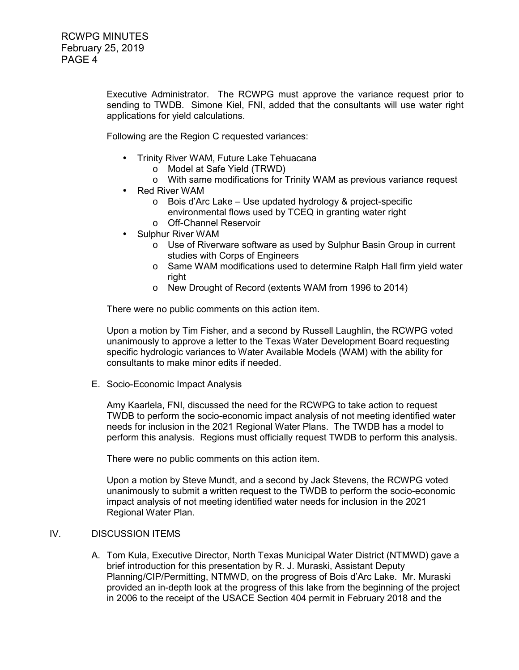Executive Administrator. The RCWPG must approve the variance request prior to sending to TWDB. Simone Kiel, FNI, added that the consultants will use water right applications for yield calculations.

Following are the Region C requested variances:

- Trinity River WAM, Future Lake Tehuacana
	- o Model at Safe Yield (TRWD)
	- o With same modifications for Trinity WAM as previous variance request
- Red River WAM
	- o Bois d'Arc Lake Use updated hydrology & project-specific environmental flows used by TCEQ in granting water right
	- o Off-Channel Reservoir
- Sulphur River WAM
	- o Use of Riverware software as used by Sulphur Basin Group in current studies with Corps of Engineers
	- o Same WAM modifications used to determine Ralph Hall firm yield water right
	- o New Drought of Record (extents WAM from 1996 to 2014)

There were no public comments on this action item.

Upon a motion by Tim Fisher, and a second by Russell Laughlin, the RCWPG voted unanimously to approve a letter to the Texas Water Development Board requesting specific hydrologic variances to Water Available Models (WAM) with the ability for consultants to make minor edits if needed.

E. Socio-Economic Impact Analysis

Amy Kaarlela, FNI, discussed the need for the RCWPG to take action to request TWDB to perform the socio-economic impact analysis of not meeting identified water needs for inclusion in the 2021 Regional Water Plans. The TWDB has a model to perform this analysis. Regions must officially request TWDB to perform this analysis.

There were no public comments on this action item.

Upon a motion by Steve Mundt, and a second by Jack Stevens, the RCWPG voted unanimously to submit a written request to the TWDB to perform the socio-economic impact analysis of not meeting identified water needs for inclusion in the 2021 Regional Water Plan.

#### IV. DISCUSSION ITEMS

A. Tom Kula, Executive Director, North Texas Municipal Water District (NTMWD) gave a brief introduction for this presentation by R. J. Muraski, Assistant Deputy Planning/CIP/Permitting, NTMWD, on the progress of Bois d'Arc Lake. Mr. Muraski provided an in-depth look at the progress of this lake from the beginning of the project in 2006 to the receipt of the USACE Section 404 permit in February 2018 and the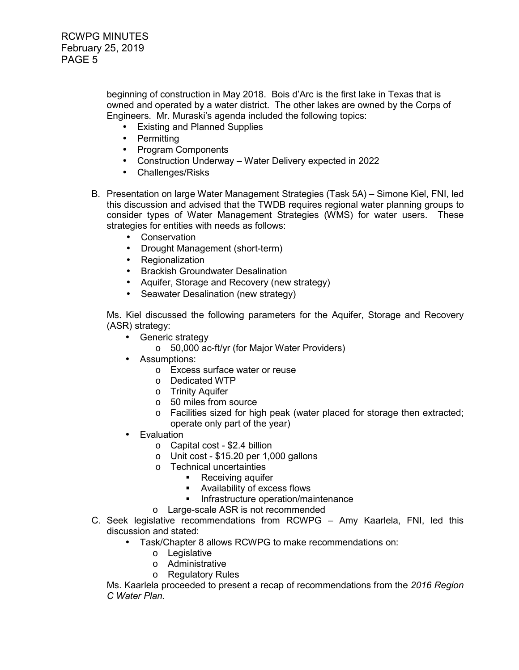beginning of construction in May 2018. Bois d'Arc is the first lake in Texas that is owned and operated by a water district. The other lakes are owned by the Corps of Engineers. Mr. Muraski's agenda included the following topics:

- Existing and Planned Supplies
- Permitting
- Program Components
- Construction Underway Water Delivery expected in 2022
- Challenges/Risks
- B. Presentation on large Water Management Strategies (Task 5A) Simone Kiel, FNI, led this discussion and advised that the TWDB requires regional water planning groups to consider types of Water Management Strategies (WMS) for water users. These strategies for entities with needs as follows:
	- Conservation
	- Drought Management (short-term)
	- Regionalization
	- Brackish Groundwater Desalination
	- Aquifer, Storage and Recovery (new strategy)
	- Seawater Desalination (new strategy)

 Ms. Kiel discussed the following parameters for the Aquifer, Storage and Recovery (ASR) strategy:

- Generic strategy
	- o 50,000 ac-ft/yr (for Major Water Providers)
- Assumptions:
	- o Excess surface water or reuse
	- o Dedicated WTP
	- o Trinity Aquifer
	- o 50 miles from source
	- o Facilities sized for high peak (water placed for storage then extracted; operate only part of the year)
- Evaluation
	- o Capital cost \$2.4 billion
	- o Unit cost \$15.20 per 1,000 gallons
	- o Technical uncertainties
		- Receiving aquifer
		- Availability of excess flows
		- **Infrastructure operation/maintenance**
	- o Large-scale ASR is not recommended
- C. Seek legislative recommendations from RCWPG Amy Kaarlela, FNI, led this discussion and stated:
	- Task/Chapter 8 allows RCWPG to make recommendations on:
		- o Legislative
		- o Administrative
		- o Regulatory Rules

 Ms. Kaarlela proceeded to present a recap of recommendations from the *2016 Region C Water Plan.*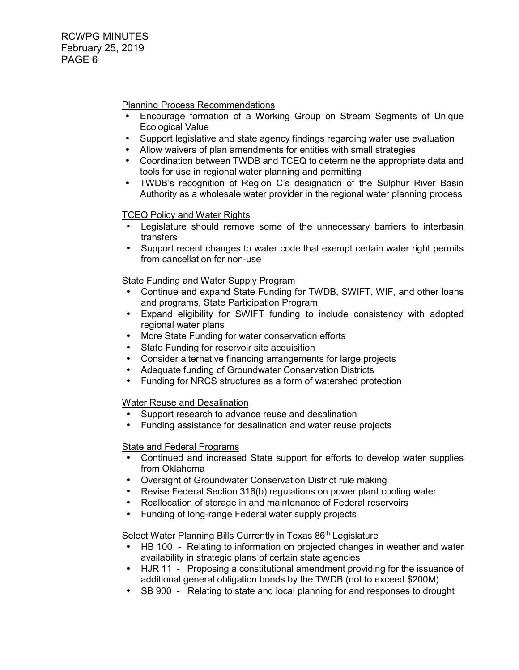Planning Process Recommendations

- Encourage formation of a Working Group on Stream Segments of Unique Ecological Value
- Support legislative and state agency findings regarding water use evaluation
- Allow waivers of plan amendments for entities with small strategies
- Coordination between TWDB and TCEQ to determine the appropriate data and tools for use in regional water planning and permitting
- TWDB's recognition of Region C's designation of the Sulphur River Basin Authority as a wholesale water provider in the regional water planning process

# TCEQ Policy and Water Rights

- Legislature should remove some of the unnecessary barriers to interbasin transfers
- Support recent changes to water code that exempt certain water right permits from cancellation for non-use

# State Funding and Water Supply Program

- Continue and expand State Funding for TWDB, SWIFT, WIF, and other loans and programs, State Participation Program
- Expand eligibility for SWIFT funding to include consistency with adopted regional water plans
- More State Funding for water conservation efforts
- State Funding for reservoir site acquisition
- Consider alternative financing arrangements for large projects
- Adequate funding of Groundwater Conservation Districts
- Funding for NRCS structures as a form of watershed protection

## Water Reuse and Desalination

- Support research to advance reuse and desalination
- Funding assistance for desalination and water reuse projects

## State and Federal Programs

- Continued and increased State support for efforts to develop water supplies from Oklahoma
- Oversight of Groundwater Conservation District rule making
- Revise Federal Section 316(b) regulations on power plant cooling water
- Reallocation of storage in and maintenance of Federal reservoirs
- Funding of long-range Federal water supply projects

## Select Water Planning Bills Currently in Texas 86<sup>th</sup> Legislature

- HB 100 Relating to information on projected changes in weather and water availability in strategic plans of certain state agencies
- HJR 11 Proposing a constitutional amendment providing for the issuance of additional general obligation bonds by the TWDB (not to exceed \$200M)
- SB 900 Relating to state and local planning for and responses to drought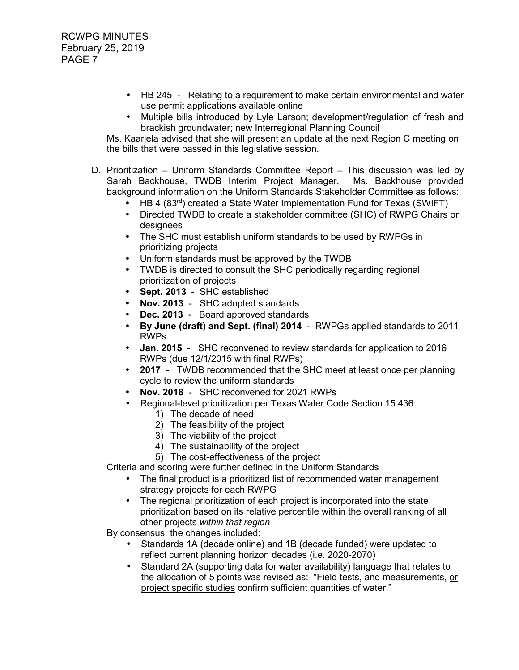- HB 245 Relating to a requirement to make certain environmental and water use permit applications available online
- Multiple bills introduced by Lyle Larson; development/regulation of fresh and brackish groundwater; new Interregional Planning Council

 Ms. Kaarlela advised that she will present an update at the next Region C meeting on the bills that were passed in this legislative session.

- D. Prioritization Uniform Standards Committee Report This discussion was led by Sarah Backhouse, TWDB Interim Project Manager. Ms. Backhouse provided background information on the Uniform Standards Stakeholder Committee as follows:
	- HB 4 (83<sup>rd</sup>) created a State Water Implementation Fund for Texas (SWIFT)
	- Directed TWDB to create a stakeholder committee (SHC) of RWPG Chairs or designees
	- The SHC must establish uniform standards to be used by RWPGs in prioritizing projects
	- Uniform standards must be approved by the TWDB
	- TWDB is directed to consult the SHC periodically regarding regional prioritization of projects
	- **Sept. 2013** SHC established
	- **Nov. 2013** SHC adopted standards
	- **Dec. 2013** Board approved standards
	- **By June (draft) and Sept. (final) 2014**  RWPGs applied standards to 2011 RWPs
	- **Jan. 2015** SHC reconvened to review standards for application to 2016 RWPs (due 12/1/2015 with final RWPs)
	- **2017** TWDB recommended that the SHC meet at least once per planning cycle to review the uniform standards
	- **Nov. 2018**  SHC reconvened for 2021 RWPs
	- Regional-level prioritization per Texas Water Code Section 15.436:
		- 1) The decade of need
		- 2) The feasibility of the project
		- 3) The viability of the project
		- 4) The sustainability of the project
		- 5) The cost-effectiveness of the project

Criteria and scoring were further defined in the Uniform Standards

- The final product is a prioritized list of recommended water management strategy projects for each RWPG
- The regional prioritization of each project is incorporated into the state prioritization based on its relative percentile within the overall ranking of all other projects *within that region*

By consensus, the changes included:

- Standards 1A (decade online) and 1B (decade funded) were updated to reflect current planning horizon decades (i.e. 2020-2070)
- Standard 2A (supporting data for water availability) language that relates to the allocation of 5 points was revised as: "Field tests, and measurements, or project specific studies confirm sufficient quantities of water."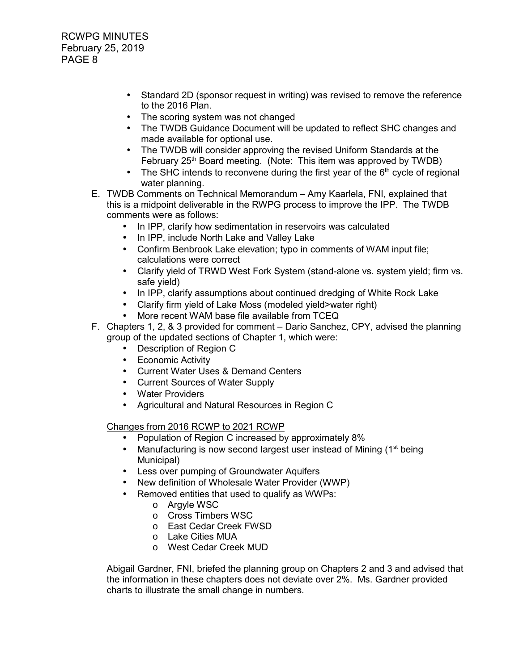RCWPG MINUTES February 25, 2019 PAGE 8

- Standard 2D (sponsor request in writing) was revised to remove the reference to the 2016 Plan.
- The scoring system was not changed
- The TWDB Guidance Document will be updated to reflect SHC changes and made available for optional use.
- The TWDB will consider approving the revised Uniform Standards at the February 25<sup>th</sup> Board meeting. (Note: This item was approved by TWDB)
- The SHC intends to reconvene during the first year of the  $6<sup>th</sup>$  cycle of regional water planning.
- E. TWDB Comments on Technical Memorandum Amy Kaarlela, FNI, explained that this is a midpoint deliverable in the RWPG process to improve the IPP. The TWDB comments were as follows:
	- In IPP, clarify how sedimentation in reservoirs was calculated
	- In IPP, include North Lake and Valley Lake
	- Confirm Benbrook Lake elevation; typo in comments of WAM input file; calculations were correct
	- Clarify yield of TRWD West Fork System (stand-alone vs. system yield; firm vs. safe yield)
	- In IPP, clarify assumptions about continued dredging of White Rock Lake
	- Clarify firm yield of Lake Moss (modeled yield>water right)
	- More recent WAM base file available from TCEQ
- F. Chapters 1, 2, & 3 provided for comment Dario Sanchez, CPY, advised the planning group of the updated sections of Chapter 1, which were:
	- Description of Region C
	- Economic Activity
	- Current Water Uses & Demand Centers
	- Current Sources of Water Supply
	- Water Providers
	- Agricultural and Natural Resources in Region C

Changes from 2016 RCWP to 2021 RCWP

- Population of Region C increased by approximately 8%
- Manufacturing is now second largest user instead of Mining (1<sup>st</sup> being Municipal)
- Less over pumping of Groundwater Aquifers
- New definition of Wholesale Water Provider (WWP)
- Removed entities that used to qualify as WWPs:
	- o Argyle WSC
	- o Cross Timbers WSC
	- o East Cedar Creek FWSD
	- o Lake Cities MUA
	- o West Cedar Creek MUD

 Abigail Gardner, FNI, briefed the planning group on Chapters 2 and 3 and advised that the information in these chapters does not deviate over 2%. Ms. Gardner provided charts to illustrate the small change in numbers.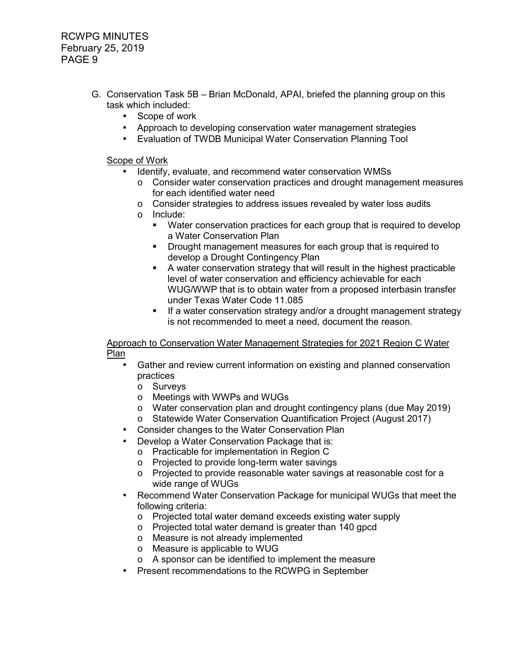RCWPG MINUTES February 25, 2019 PAGE 9

- G. Conservation Task 5B Brian McDonald, APAI, briefed the planning group on this task which included:
	- Scope of work
	- Approach to developing conservation water management strategies
	- Evaluation of TWDB Municipal Water Conservation Planning Tool

#### Scope of Work

- Identify, evaluate, and recommend water conservation WMSs
	- $\circ$  Consider water conservation practices and drought management measures for each identified water need
	- $\circ$  Consider strategies to address issues revealed by water loss audits
	- o Include:
		- Water conservation practices for each group that is required to develop a Water Conservation Plan
		- **Drought management measures for each group that is required to** develop a Drought Contingency Plan
		- A water conservation strategy that will result in the highest practicable level of water conservation and efficiency achievable for each WUG/WWP that is to obtain water from a proposed interbasin transfer under Texas Water Code 11.085
		- **If a water conservation strategy and/or a drought management strategy** is not recommended to meet a need, document the reason.

 Approach to Conservation Water Management Strategies for 2021 Region C Water Plan

- Gather and review current information on existing and planned conservation practices
	- o Surveys
	- o Meetings with WWPs and WUGs
	- o Water conservation plan and drought contingency plans (due May 2019)
	- o Statewide Water Conservation Quantification Project (August 2017)
- Consider changes to the Water Conservation Plan
- Develop a Water Conservation Package that is:
	- o Practicable for implementation in Region C
	- o Projected to provide long-term water savings
	- o Projected to provide reasonable water savings at reasonable cost for a wide range of WUGs
- Recommend Water Conservation Package for municipal WUGs that meet the following criteria:
	- o Projected total water demand exceeds existing water supply
	- o Projected total water demand is greater than 140 gpcd
	- o Measure is not already implemented
	- o Measure is applicable to WUG
	- o A sponsor can be identified to implement the measure
- Present recommendations to the RCWPG in September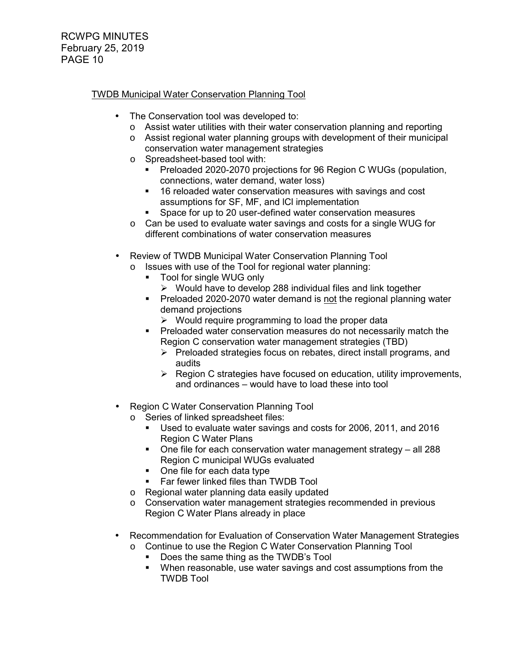# TWDB Municipal Water Conservation Planning Tool

- The Conservation tool was developed to:
	- o Assist water utilities with their water conservation planning and reporting
	- $\circ$  Assist regional water planning groups with development of their municipal conservation water management strategies
	- o Spreadsheet-based tool with:
		- Preloaded 2020-2070 projections for 96 Region C WUGs (population, connections, water demand, water loss)
		- **16 reloaded water conservation measures with savings and cost** assumptions for SF, MF, and lCl implementation
		- Space for up to 20 user-defined water conservation measures
	- o Can be used to evaluate water savings and costs for a single WUG for different combinations of water conservation measures
- Review of TWDB Municipal Water Conservation Planning Tool
	- o Issues with use of the Tool for regional water planning:
		- Tool for single WUG only
			- $\triangleright$  Would have to develop 288 individual files and link together
		- **Preloaded 2020-2070 water demand is not the regional planning water** demand projections
			- $\triangleright$  Would require programming to load the proper data
		- **Preloaded water conservation measures do not necessarily match the** Region C conservation water management strategies (TBD)
			- $\triangleright$  Preloaded strategies focus on rebates, direct install programs, and audits
			- $\triangleright$  Region C strategies have focused on education, utility improvements, and ordinances – would have to load these into tool
- Region C Water Conservation Planning Tool
	- o Series of linked spreadsheet files:
		- Used to evaluate water savings and costs for 2006, 2011, and 2016 Region C Water Plans
		- One file for each conservation water management strategy all 288 Region C municipal WUGs evaluated
		- One file for each data type
		- **Far fewer linked files than TWDB Tool**
	- o Regional water planning data easily updated
	- o Conservation water management strategies recommended in previous Region C Water Plans already in place
- Recommendation for Evaluation of Conservation Water Management Strategies o Continue to use the Region C Water Conservation Planning Tool
	- Does the same thing as the TWDB's Tool
	- When reasonable, use water savings and cost assumptions from the TWDB Tool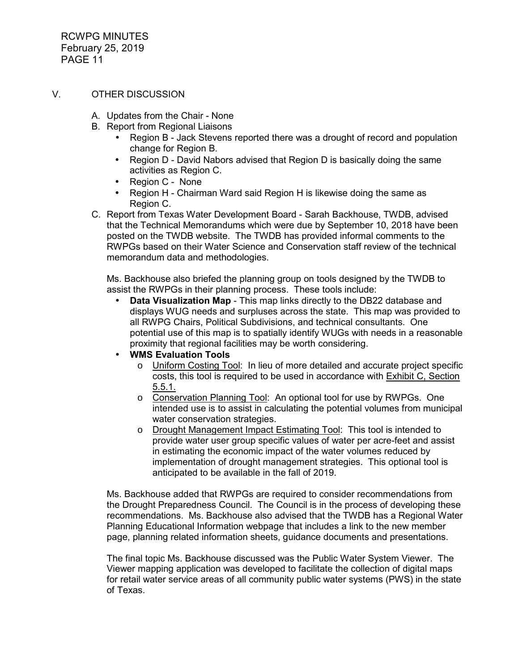RCWPG MINUTES February 25, 2019 PAGE 11

#### V. OTHER DISCUSSION

- A. Updates from the Chair None
- B. Report from Regional Liaisons
	- Region B Jack Stevens reported there was a drought of record and population change for Region B.
	- Region D David Nabors advised that Region D is basically doing the same activities as Region C.
	- Region C None
	- Region H Chairman Ward said Region H is likewise doing the same as Region C.
- C. Report from Texas Water Development Board Sarah Backhouse, TWDB, advised that the Technical Memorandums which were due by September 10, 2018 have been posted on the TWDB website. The TWDB has provided informal comments to the RWPGs based on their Water Science and Conservation staff review of the technical memorandum data and methodologies.

 Ms. Backhouse also briefed the planning group on tools designed by the TWDB to assist the RWPGs in their planning process. These tools include:

- **Data Visualization Map** This map links directly to the DB22 database and displays WUG needs and surpluses across the state. This map was provided to all RWPG Chairs, Political Subdivisions, and technical consultants. One potential use of this map is to spatially identify WUGs with needs in a reasonable proximity that regional facilities may be worth considering.
- **WMS Evaluation Tools**
	- o Uniform Costing Tool: In lieu of more detailed and accurate project specific costs, this tool is required to be used in accordance with Exhibit C, Section 5.5.1.
	- o Conservation Planning Tool: An optional tool for use by RWPGs. One intended use is to assist in calculating the potential volumes from municipal water conservation strategies.
	- o Drought Management Impact Estimating Tool: This tool is intended to provide water user group specific values of water per acre-feet and assist in estimating the economic impact of the water volumes reduced by implementation of drought management strategies. This optional tool is anticipated to be available in the fall of 2019.

 Ms. Backhouse added that RWPGs are required to consider recommendations from the Drought Preparedness Council. The Council is in the process of developing these recommendations. Ms. Backhouse also advised that the TWDB has a Regional Water Planning Educational Information webpage that includes a link to the new member page, planning related information sheets, guidance documents and presentations.

 The final topic Ms. Backhouse discussed was the Public Water System Viewer. The Viewer mapping application was developed to facilitate the collection of digital maps for retail water service areas of all community public water systems (PWS) in the state of Texas.